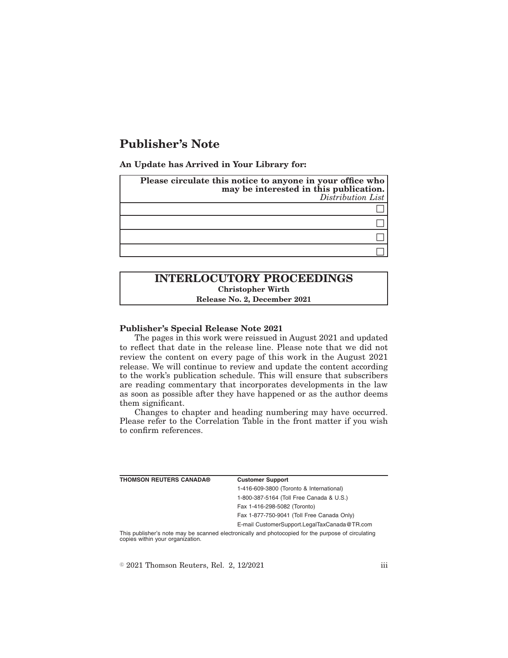# **Publisher's Note**

**An Update has Arrived in Your Library for:**

| Please circulate this notice to anyone in your office who<br>may be interested in this publication.<br>Distribution List |
|--------------------------------------------------------------------------------------------------------------------------|
|                                                                                                                          |
|                                                                                                                          |
|                                                                                                                          |
|                                                                                                                          |

## **INTERLOCUTORY PROCEEDINGS Christopher Wirth Release No. 2, December 2021**

#### **Publisher's Special Release Note 2021**

The pages in this work were reissued in August 2021 and updated to reflect that date in the release line. Please note that we did not review the content on every page of this work in the August 2021 release. We will continue to review and update the content according to the work's publication schedule. This will ensure that subscribers are reading commentary that incorporates developments in the law as soon as possible after they have happened or as the author deems them significant.

Changes to chapter and heading numbering may have occurred. Please refer to the Correlation Table in the front matter if you wish to confirm references.

| <b>THOMSON REUTERS CANADA®</b>   | <b>Customer Support</b>                                                                            |
|----------------------------------|----------------------------------------------------------------------------------------------------|
|                                  | 1-416-609-3800 (Toronto & International)                                                           |
|                                  | 1-800-387-5164 (Toll Free Canada & U.S.)                                                           |
|                                  | Fax 1-416-298-5082 (Toronto)                                                                       |
|                                  | Fax 1-877-750-9041 (Toll Free Canada Only)                                                         |
|                                  | E-mail CustomerSupport.LegalTaxCanada@TR.com                                                       |
| copies within your organization. | This publisher's note may be scanned electronically and photocopied for the purpose of circulating |

 $\textdegree$  2021 Thomson Reuters, Rel. 2, 12/2021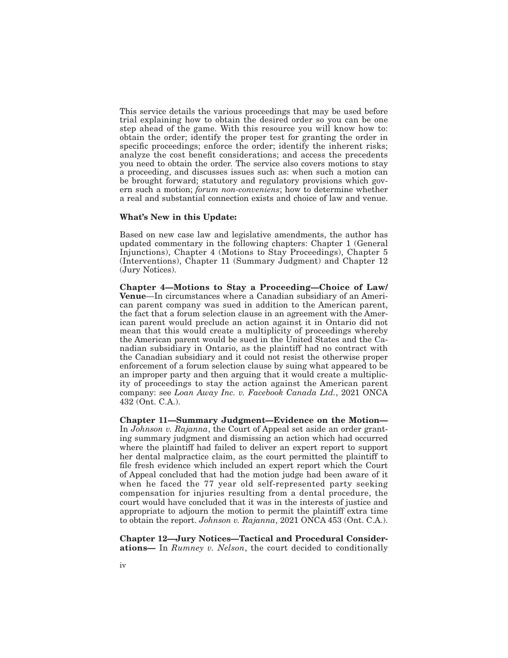This service details the various proceedings that may be used before trial explaining how to obtain the desired order so you can be one step ahead of the game. With this resource you will know how to: obtain the order; identify the proper test for granting the order in specific proceedings; enforce the order; identify the inherent risks; analyze the cost benefit considerations; and access the precedents you need to obtain the order. The service also covers motions to stay a proceeding, and discusses issues such as: when such a motion can be brought forward; statutory and regulatory provisions which govern such a motion; *forum non-conveniens*; how to determine whether a real and substantial connection exists and choice of law and venue.

#### **What's New in this Update:**

Based on new case law and legislative amendments, the author has updated commentary in the following chapters: Chapter 1 (General Injunctions), Chapter 4 (Motions to Stay Proceedings), Chapter 5 (Interventions), Chapter 11 (Summary Judgment) and Chapter 12 (Jury Notices).

**Chapter 4—Motions to Stay a Proceeding—Choice of Law/ Venue**—In circumstances where a Canadian subsidiary of an American parent company was sued in addition to the American parent, the fact that a forum selection clause in an agreement with the American parent would preclude an action against it in Ontario did not mean that this would create a multiplicity of proceedings whereby the American parent would be sued in the United States and the Canadian subsidiary in Ontario, as the plaintiff had no contract with the Canadian subsidiary and it could not resist the otherwise proper enforcement of a forum selection clause by suing what appeared to be an improper party and then arguing that it would create a multiplicity of proceedings to stay the action against the American parent company: see *Loan Away Inc. v. Facebook Canada Ltd.*, 2021 ONCA 432 (Ont. C.A.).

**Chapter 11—Summary Judgment—Evidence on the Motion—** In *Johnson v. Rajanna*, the Court of Appeal set aside an order granting summary judgment and dismissing an action which had occurred where the plaintiff had failed to deliver an expert report to support her dental malpractice claim, as the court permitted the plaintiff to file fresh evidence which included an expert report which the Court of Appeal concluded that had the motion judge had been aware of it when he faced the 77 year old self-represented party seeking compensation for injuries resulting from a dental procedure, the court would have concluded that it was in the interests of justice and appropriate to adjourn the motion to permit the plaintiff extra time to obtain the report. *Johnson v. Rajanna*, 2021 ONCA 453 (Ont. C.A.).

**Chapter 12—Jury Notices—Tactical and Procedural Considerations—** In *Rumney v. Nelson*, the court decided to conditionally